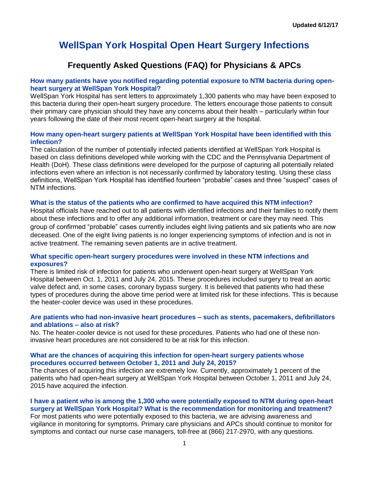# **WellSpan York Hospital Open Heart Surgery Infections**

# **Frequently Asked Questions (FAQ) for Physicians & APCs**

# **How many patients have you notified regarding potential exposure to NTM bacteria during openheart surgery at WellSpan York Hospital?**

WellSpan York Hospital has sent letters to approximately 1,300 patients who may have been exposed to this bacteria during their open-heart surgery procedure. The letters encourage those patients to consult their primary care physician should they have any concerns about their health – particularly within four years following the date of their most recent open-heart surgery at the hospital.

# **How many open-heart surgery patients at WellSpan York Hospital have been identified with this infection?**

The calculation of the number of potentially infected patients identified at WellSpan York Hospital is based on class definitions developed while working with the CDC and the Pennsylvania Department of Health (DoH). These class definitions were developed for the purpose of capturing all potentially related infections even where an infection is not necessarily confirmed by laboratory testing. Using these class definitions, WellSpan York Hospital has identified fourteen "probable" cases and three "suspect" cases of NTM infections.

# **What is the status of the patients who are confirmed to have acquired this NTM infection?**

Hospital officials have reached out to all patients with identified infections and their families to notify them about these infections and to offer any additional information, treatment or care they may need. This group of confirmed "probable" cases currently includes eight living patients and six patients who are now deceased. One of the eight living patients is no longer experiencing symptoms of infection and is not in active treatment. The remaining seven patients are in active treatment.

# **What specific open-heart surgery procedures were involved in these NTM infections and exposures?**

There is limited risk of infection for patients who underwent open-heart surgery at WellSpan York Hospital between Oct. 1, 2011 and July 24, 2015. These procedures included surgery to treat an aortic valve defect and, in some cases, coronary bypass surgery. It is believed that patients who had these types of procedures during the above time period were at limited risk for these infections. This is because the heater-cooler device was used in these procedures.

# **Are patients who had non-invasive heart procedures – such as stents, pacemakers, defibrillators and ablations – also at risk?**

No. The heater-cooler device is not used for these procedures. Patients who had one of these noninvasive heart procedures are not considered to be at risk for this infection.

# **What are the chances of acquiring this infection for open-heart surgery patients whose procedures occurred between October 1, 2011 and July 24, 2015?**

The chances of acquiring this infection are extremely low. Currently, approximately 1 percent of the patients who had open-heart surgery at WellSpan York Hospital between October 1, 2011 and July 24, 2015 have acquired the infection.

# **I have a patient who is among the 1,300 who were potentially exposed to NTM during open-heart surgery at WellSpan York Hospital? What is the recommendation for monitoring and treatment?**

For most patients who were potentially exposed to this bacteria, we are advising awareness and vigilance in monitoring for symptoms. Primary care physicians and APCs should continue to monitor for symptoms and contact our nurse case managers, toll-free at (866) 217-2970, with any questions.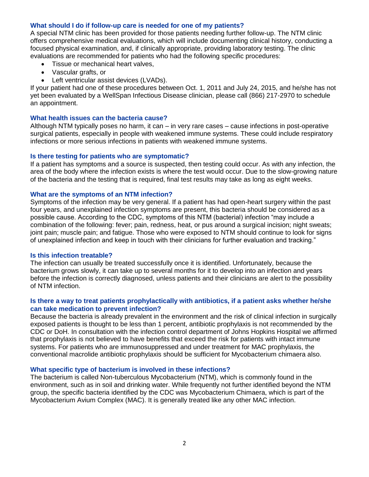# **What should I do if follow-up care is needed for one of my patients?**

A special NTM clinic has been provided for those patients needing further follow-up. The NTM clinic offers comprehensive medical evaluations, which will include documenting clinical history, conducting a focused physical examination, and, if clinically appropriate, providing laboratory testing. The clinic evaluations are recommended for patients who had the following specific procedures:

- Tissue or mechanical heart valves,
- Vascular grafts, or
- Left ventricular assist devices (LVADs).

If your patient had one of these procedures between Oct. 1, 2011 and July 24, 2015, and he/she has not yet been evaluated by a WellSpan Infectious Disease clinician, please call (866) 217-2970 to schedule an appointment.

#### **What health issues can the bacteria cause?**

Although NTM typically poses no harm, it can – in very rare cases – cause infections in post-operative surgical patients, especially in people with weakened immune systems. These could include respiratory infections or more serious infections in patients with weakened immune systems.

# **Is there testing for patients who are symptomatic?**

If a patient has symptoms and a source is suspected, then testing could occur. As with any infection, the area of the body where the infection exists is where the test would occur. Due to the slow-growing nature of the bacteria and the testing that is required, final test results may take as long as eight weeks.

#### **What are the symptoms of an NTM infection?**

Symptoms of the infection may be very general. If a patient has had open-heart surgery within the past four years, and unexplained infection symptoms are present, this bacteria should be considered as a possible cause. According to the CDC, symptoms of this NTM (bacterial) infection "may include a combination of the following: fever; pain, redness, heat, or pus around a surgical incision; night sweats; joint pain; muscle pain; and fatigue. Those who were exposed to NTM should continue to look for signs of unexplained infection and keep in touch with their clinicians for further evaluation and tracking."

#### **Is this infection treatable?**

The infection can usually be treated successfully once it is identified. Unfortunately, because the bacterium grows slowly, it can take up to several months for it to develop into an infection and years before the infection is correctly diagnosed, unless patients and their clinicians are alert to the possibility of NTM infection.

# **Is there a way to treat patients prophylactically with antibiotics, if a patient asks whether he/she can take medication to prevent infection?**

Because the bacteria is already prevalent in the environment and the risk of clinical infection in surgically exposed patients is thought to be less than 1 percent, antibiotic prophylaxis is not recommended by the CDC or DoH. In consultation with the infection control department of Johns Hopkins Hospital we affirmed that prophylaxis is not believed to have benefits that exceed the risk for patients with intact immune systems. For patients who are immunosuppressed and under treatment for MAC prophylaxis, the conventional macrolide antibiotic prophylaxis should be sufficient for Mycobacterium chimaera also.

#### **What specific type of bacterium is involved in these infections?**

The bacterium is called Non-tuberculous Mycobacterium (NTM), which is commonly found in the environment, such as in soil and drinking water. While frequently not further identified beyond the NTM group, the specific bacteria identified by the CDC was Mycobacterium Chimaera, which is part of the Mycobacterium Avium Complex (MAC). It is generally treated like any other MAC infection.